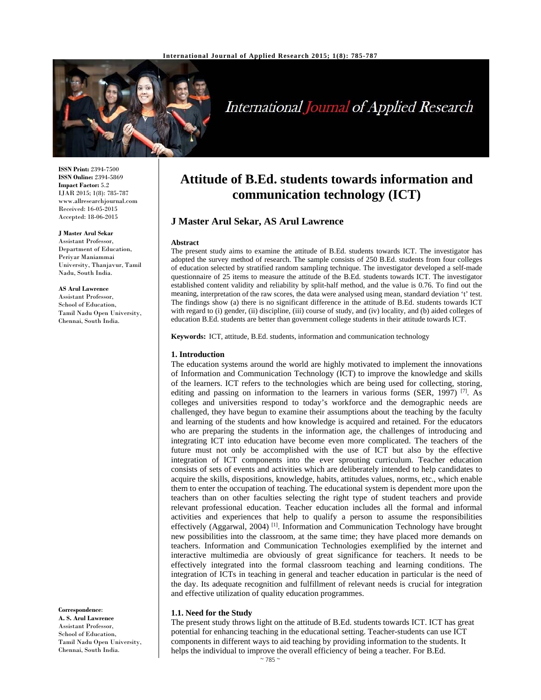

# **International Journal of Applied Research**

**ISSN Print:** 2394-7500 **ISSN Online:** 2394-5869 **Impact Factor:** 5.2 IJAR 2015; 1(8): 785-787 www.allresearchjournal.com Received: 16-05-2015 Accepted: 18-06-2015

## **J Master Arul Sekar**

Assistant Professor, Department of Education, Periyar Maniammai University, Thanjavur, Tamil Nadu, South India.

#### **AS Arul Lawrence**

Assistant Professor, School of Education, Tamil Nadu Open University, Chennai, South India.

#### **Correspondence**:

**A. S. Arul Lawrence**  Assistant Professor, School of Education, Tamil Nadu Open University, Chennai, South India.

## **Attitude of B.Ed. students towards information and communication technology (ICT)**

## **J Master Arul Sekar, AS Arul Lawrence**

#### **Abstract**

The present study aims to examine the attitude of B.Ed. students towards ICT. The investigator has adopted the survey method of research. The sample consists of 250 B.Ed. students from four colleges of education selected by stratified random sampling technique. The investigator developed a self-made questionnaire of 25 items to measure the attitude of the B.Ed. students towards ICT. The investigator established content validity and reliability by split-half method, and the value is 0.76. To find out the meaning, interpretation of the raw scores, the data were analysed using mean, standard deviation 't' test. The findings show (a) there is no significant difference in the attitude of B.Ed. students towards ICT with regard to (i) gender, (ii) discipline, (iii) course of study, and (iv) locality, and (b) aided colleges of education B.Ed. students are better than government college students in their attitude towards ICT.

**Keywords:** ICT, attitude, B.Ed. students, information and communication technology

#### **1. Introduction**

The education systems around the world are highly motivated to implement the innovations of Information and Communication Technology (ICT) to improve the knowledge and skills of the learners. ICT refers to the technologies which are being used for collecting, storing, editing and passing on information to the learners in various forms (SER, 1997)<sup>[7]</sup>. As colleges and universities respond to today's workforce and the demographic needs are challenged, they have begun to examine their assumptions about the teaching by the faculty and learning of the students and how knowledge is acquired and retained. For the educators who are preparing the students in the information age, the challenges of introducing and integrating ICT into education have become even more complicated. The teachers of the future must not only be accomplished with the use of ICT but also by the effective integration of ICT components into the ever sprouting curriculum. Teacher education consists of sets of events and activities which are deliberately intended to help candidates to acquire the skills, dispositions, knowledge, habits, attitudes values, norms, etc., which enable them to enter the occupation of teaching. The educational system is dependent more upon the teachers than on other faculties selecting the right type of student teachers and provide relevant professional education. Teacher education includes all the formal and informal activities and experiences that help to qualify a person to assume the responsibilities effectively (Aggarwal, 2004)<sup>[1]</sup>. Information and Communication Technology have brought new possibilities into the classroom, at the same time; they have placed more demands on teachers. Information and Communication Technologies exemplified by the internet and interactive multimedia are obviously of great significance for teachers. It needs to be effectively integrated into the formal classroom teaching and learning conditions. The integration of ICTs in teaching in general and teacher education in particular is the need of the day. Its adequate recognition and fulfillment of relevant needs is crucial for integration and effective utilization of quality education programmes.

#### **1.1. Need for the Study**

The present study throws light on the attitude of B.Ed. students towards ICT. ICT has great potential for enhancing teaching in the educational setting. Teacher-students can use ICT components in different ways to aid teaching by providing information to the students. It helps the individual to improve the overall efficiency of being a teacher. For B.Ed.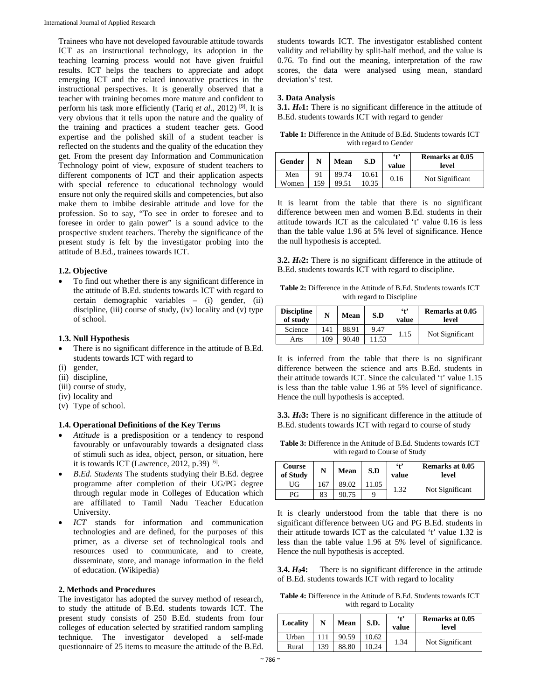Trainees who have not developed favourable attitude towards ICT as an instructional technology, its adoption in the teaching learning process would not have given fruitful results. ICT helps the teachers to appreciate and adopt emerging ICT and the related innovative practices in the instructional perspectives. It is generally observed that a teacher with training becomes more mature and confident to perform his task more efficiently (Tariq *et al*., 2012) [9]. It is very obvious that it tells upon the nature and the quality of the training and practices a student teacher gets. Good expertise and the polished skill of a student teacher is reflected on the students and the quality of the education they get. From the present day Information and Communication Technology point of view, exposure of student teachers to different components of ICT and their application aspects with special reference to educational technology would ensure not only the required skills and competencies, but also make them to imbibe desirable attitude and love for the profession. So to say, "To see in order to foresee and to foresee in order to gain power" is a sound advice to the prospective student teachers. Thereby the significance of the present study is felt by the investigator probing into the attitude of B.Ed., trainees towards ICT.

### **1.2. Objective**

 To find out whether there is any significant difference in the attitude of B.Ed. students towards ICT with regard to certain demographic variables – (i) gender, (ii) discipline, (iii) course of study, (iv) locality and (v) type of school.

## **1.3. Null Hypothesis**

- There is no significant difference in the attitude of B.Ed. students towards ICT with regard to
- (i) gender,
- (ii) discipline,
- (iii) course of study,
- (iv) locality and
- (v) Type of school.

## **1.4. Operational Definitions of the Key Terms**

- *Attitude* is a predisposition or a tendency to respond favourably or unfavourably towards a designated class of stimuli such as idea, object, person, or situation, here it is towards ICT (Lawrence, 2012, p.39)  $[6]$ .
- *B.Ed. Students* The students studying their B.Ed. degree programme after completion of their UG/PG degree through regular mode in Colleges of Education which are affiliated to Tamil Nadu Teacher Education University.
- *ICT* stands for information and communication technologies and are defined, for the purposes of this primer, as a diverse set of technological tools and resources used to communicate, and to create, disseminate, store, and manage information in the field of education. (Wikipedia)

## **2. Methods and Procedures**

The investigator has adopted the survey method of research, to study the attitude of B.Ed. students towards ICT. The present study consists of 250 B.Ed. students from four colleges of education selected by stratified random sampling technique. The investigator developed a self-made questionnaire of 25 items to measure the attitude of the B.Ed.

students towards ICT. The investigator established content validity and reliability by split-half method, and the value is 0.76. To find out the meaning, interpretation of the raw scores, the data were analysed using mean, standard deviation's' test.

## **3. Data Analysis**

**3.1.** *H<sub>0</sub>***1:** There is no significant difference in the attitude of B.Ed. students towards ICT with regard to gender

**Table 1:** Difference in the Attitude of B.Ed. Students towards ICT with regard to Gender

| Gender |     | Mean  | S.D   | $^{6+}$<br>value | Remarks at 0.05<br>level |
|--------|-----|-------|-------|------------------|--------------------------|
| Men    | 91  | 89.74 | 10.61 | 0.16             | Not Significant          |
| Women  | 159 | 89.51 | 10.35 |                  |                          |

It is learnt from the table that there is no significant difference between men and women B.Ed. students in their attitude towards ICT as the calculated 't' value 0.16 is less than the table value 1.96 at 5% level of significance. Hence the null hypothesis is accepted.

**3.2.** *H0***2:** There is no significant difference in the attitude of B.Ed. students towards ICT with regard to discipline.

**Table 2:** Difference in the Attitude of B.Ed. Students towards ICT with regard to Discipline

| <b>Discipline</b><br>of study | N   | Mean  | S.D   | 4 <sup>2</sup><br>value | Remarks at 0.05<br>level |
|-------------------------------|-----|-------|-------|-------------------------|--------------------------|
| Science                       | 141 | 88.91 | 9.47  | 1.15                    | Not Significant          |
| Arts                          | 109 | 90.48 | 11.53 |                         |                          |

It is inferred from the table that there is no significant difference between the science and arts B.Ed. students in their attitude towards ICT. Since the calculated 't' value 1.15 is less than the table value 1.96 at 5% level of significance. Hence the null hypothesis is accepted.

**3.3.** *H0***3:** There is no significant difference in the attitude of B.Ed. students towards ICT with regard to course of study

**Table 3:** Difference in the Attitude of B.Ed. Students towards ICT with regard to Course of Study

| <b>Course</b><br>of Study | N   | <b>Mean</b> | S.D  | $^{\circ}$<br>value | <b>Remarks at 0.05</b><br>level |
|---------------------------|-----|-------------|------|---------------------|---------------------------------|
| UG                        | 167 | 89.02       | 1.05 | 1.32                |                                 |
| РG                        | 83  | 90.75       |      |                     | Not Significant                 |

It is clearly understood from the table that there is no significant difference between UG and PG B.Ed. students in their attitude towards ICT as the calculated 't' value 1.32 is less than the table value 1.96 at 5% level of significance. Hence the null hypothesis is accepted.

**3.4.** *H<sub>0</sub>*4: There is no significant difference in the attitude of B.Ed. students towards ICT with regard to locality

**Table 4:** Difference in the Attitude of B.Ed. Students towards ICT with regard to Locality

| Locality | N   | Mean  | S.D.  | $\ddot{\bullet}$<br>value | Remarks at 0.05<br>level |
|----------|-----|-------|-------|---------------------------|--------------------------|
| Urban    |     | 90.59 | 10.62 | 1.34                      | Not Significant          |
| Rural    | 139 | 88.80 | 10.24 |                           |                          |